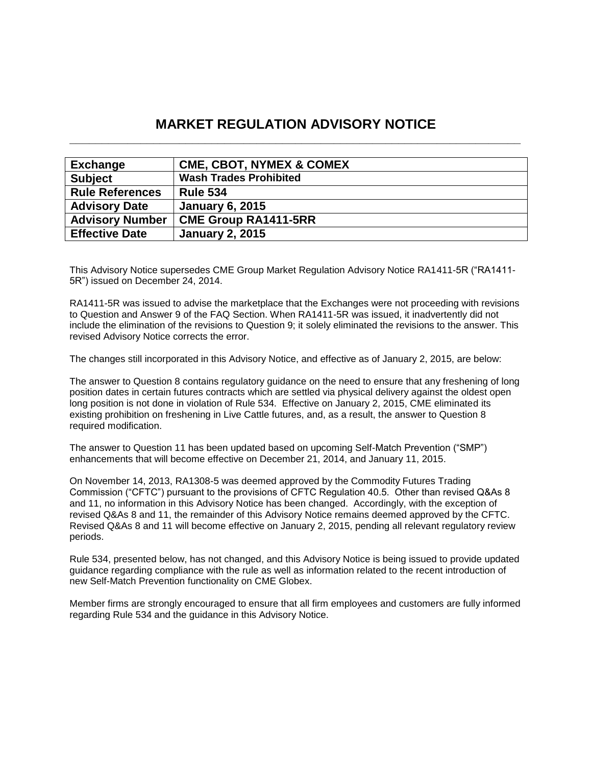# **MARKET REGULATION ADVISORY NOTICE \_\_\_\_\_\_\_\_\_\_\_\_\_\_\_\_\_\_\_\_\_\_\_\_\_\_\_\_\_\_\_\_\_\_\_\_\_\_\_\_\_\_\_\_\_\_\_\_\_\_\_\_\_\_\_\_\_\_\_\_\_\_\_\_\_\_\_\_\_\_**

| <b>Exchange</b>        | <b>CME, CBOT, NYMEX &amp; COMEX</b> |
|------------------------|-------------------------------------|
| <b>Subject</b>         | <b>Wash Trades Prohibited</b>       |
| <b>Rule References</b> | <b>Rule 534</b>                     |
| <b>Advisory Date</b>   | <b>January 6, 2015</b>              |
| <b>Advisory Number</b> | <b>CME Group RA1411-5RR</b>         |
| <b>Effective Date</b>  | <b>January 2, 2015</b>              |

This Advisory Notice supersedes CME Group Market Regulation Advisory Notice RA1411-5R ("RA1411- 5R") issued on December 24, 2014.

RA1411-5R was issued to advise the marketplace that the Exchanges were not proceeding with revisions to Question and Answer 9 of the FAQ Section. When RA1411-5R was issued, it inadvertently did not include the elimination of the revisions to Question 9; it solely eliminated the revisions to the answer. This revised Advisory Notice corrects the error.

The changes still incorporated in this Advisory Notice, and effective as of January 2, 2015, are below:

The answer to Question 8 contains regulatory guidance on the need to ensure that any freshening of long position dates in certain futures contracts which are settled via physical delivery against the oldest open long position is not done in violation of Rule 534. Effective on January 2, 2015, CME eliminated its existing prohibition on freshening in Live Cattle futures, and, as a result, the answer to Question 8 required modification.

The answer to Question 11 has been updated based on upcoming Self-Match Prevention ("SMP") enhancements that will become effective on December 21, 2014, and January 11, 2015.

On November 14, 2013, RA1308-5 was deemed approved by the Commodity Futures Trading Commission ("CFTC") pursuant to the provisions of CFTC Regulation 40.5. Other than revised Q&As 8 and 11, no information in this Advisory Notice has been changed. Accordingly, with the exception of revised Q&As 8 and 11, the remainder of this Advisory Notice remains deemed approved by the CFTC. Revised Q&As 8 and 11 will become effective on January 2, 2015, pending all relevant regulatory review periods.

Rule 534, presented below, has not changed, and this Advisory Notice is being issued to provide updated guidance regarding compliance with the rule as well as information related to the recent introduction of new Self-Match Prevention functionality on CME Globex.

Member firms are strongly encouraged to ensure that all firm employees and customers are fully informed regarding Rule 534 and the guidance in this Advisory Notice.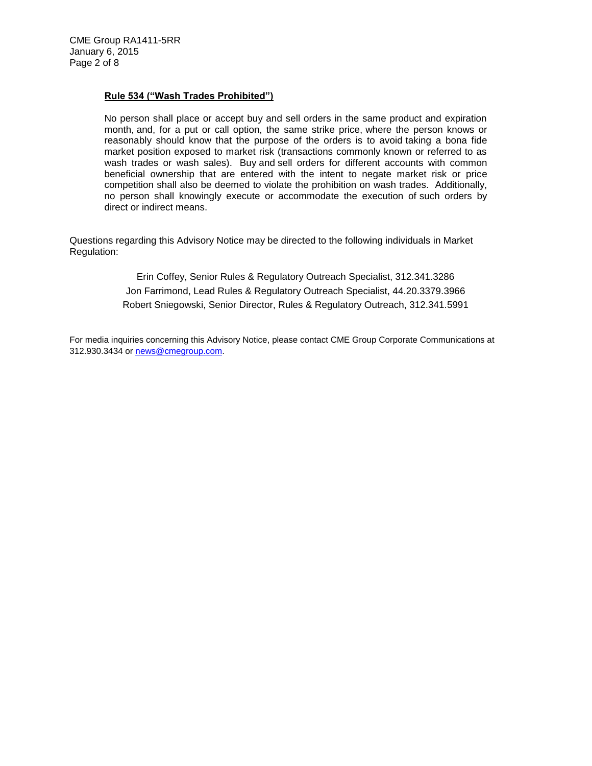# **Rule 534 ("Wash Trades Prohibited")**

No person shall place or accept buy and sell orders in the same product and expiration month, and, for a put or call option, the same strike price, where the person knows or reasonably should know that the purpose of the orders is to avoid taking a bona fide market position exposed to market risk (transactions commonly known or referred to as wash trades or wash sales). Buy and sell orders for different accounts with common beneficial ownership that are entered with the intent to negate market risk or price competition shall also be deemed to violate the prohibition on wash trades. Additionally, no person shall knowingly execute or accommodate the execution of such orders by direct or indirect means.

Questions regarding this Advisory Notice may be directed to the following individuals in Market Regulation:

> Erin Coffey, Senior Rules & Regulatory Outreach Specialist, 312.341.3286 Jon Farrimond, Lead Rules & Regulatory Outreach Specialist, 44.20.3379.3966 Robert Sniegowski, Senior Director, Rules & Regulatory Outreach, 312.341.5991

For media inquiries concerning this Advisory Notice, please contact CME Group Corporate Communications at 312.930.3434 or [news@cmegroup.com.](mailto:news@cmegroup.com)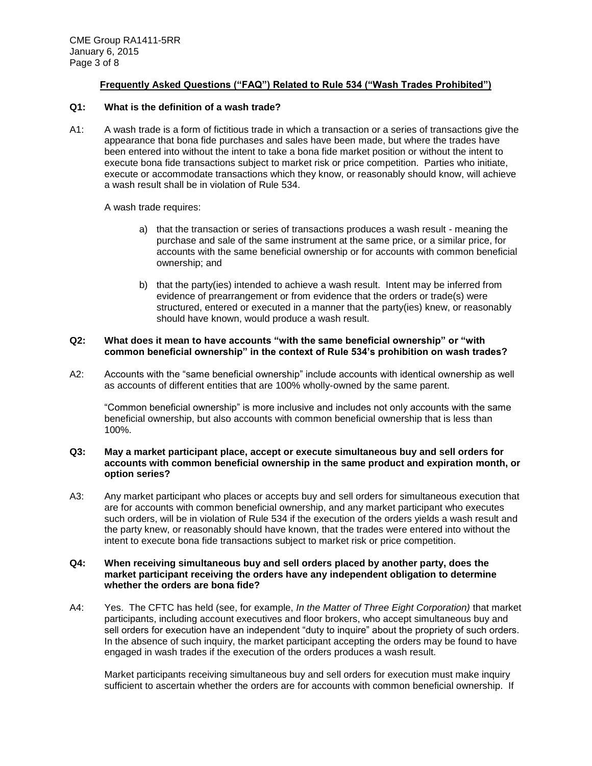# **Frequently Asked Questions ("FAQ") Related to Rule 534 ("Wash Trades Prohibited")**

# **Q1: What is the definition of a wash trade?**

A1: A wash trade is a form of fictitious trade in which a transaction or a series of transactions give the appearance that bona fide purchases and sales have been made, but where the trades have been entered into without the intent to take a bona fide market position or without the intent to execute bona fide transactions subject to market risk or price competition. Parties who initiate, execute or accommodate transactions which they know, or reasonably should know, will achieve a wash result shall be in violation of Rule 534.

A wash trade requires:

- a) that the transaction or series of transactions produces a wash result meaning the purchase and sale of the same instrument at the same price, or a similar price, for accounts with the same beneficial ownership or for accounts with common beneficial ownership; and
- b) that the party(ies) intended to achieve a wash result. Intent may be inferred from evidence of prearrangement or from evidence that the orders or trade(s) were structured, entered or executed in a manner that the party(ies) knew, or reasonably should have known, would produce a wash result.

# **Q2: What does it mean to have accounts "with the same beneficial ownership" or "with common beneficial ownership" in the context of Rule 534's prohibition on wash trades?**

A2: Accounts with the "same beneficial ownership" include accounts with identical ownership as well as accounts of different entities that are 100% wholly-owned by the same parent.

"Common beneficial ownership" is more inclusive and includes not only accounts with the same beneficial ownership, but also accounts with common beneficial ownership that is less than 100%.

#### **Q3: May a market participant place, accept or execute simultaneous buy and sell orders for accounts with common beneficial ownership in the same product and expiration month, or option series?**

A3: Any market participant who places or accepts buy and sell orders for simultaneous execution that are for accounts with common beneficial ownership, and any market participant who executes such orders, will be in violation of Rule 534 if the execution of the orders yields a wash result and the party knew, or reasonably should have known, that the trades were entered into without the intent to execute bona fide transactions subject to market risk or price competition.

#### **Q4: When receiving simultaneous buy and sell orders placed by another party, does the market participant receiving the orders have any independent obligation to determine whether the orders are bona fide?**

A4: Yes. The CFTC has held (see, for example, *In the Matter of Three Eight Corporation)* that market participants, including account executives and floor brokers, who accept simultaneous buy and sell orders for execution have an independent "duty to inquire" about the propriety of such orders. In the absence of such inquiry, the market participant accepting the orders may be found to have engaged in wash trades if the execution of the orders produces a wash result.

Market participants receiving simultaneous buy and sell orders for execution must make inquiry sufficient to ascertain whether the orders are for accounts with common beneficial ownership. If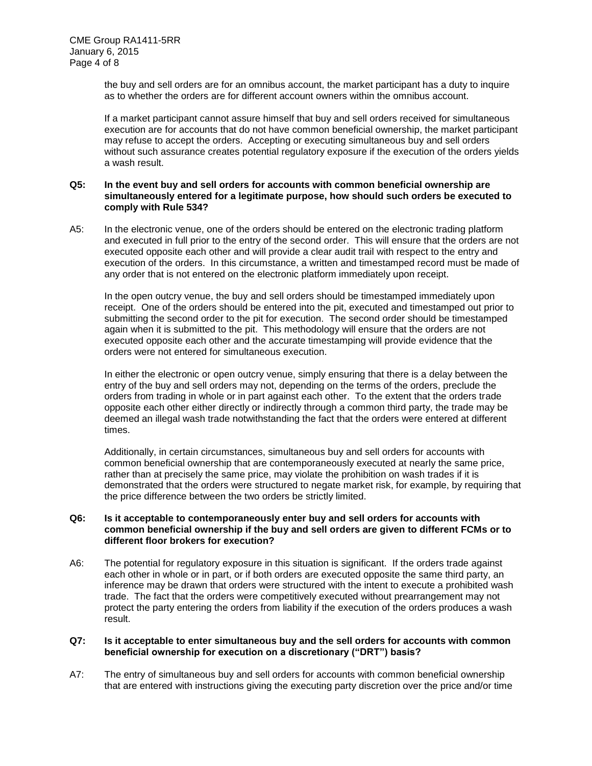the buy and sell orders are for an omnibus account, the market participant has a duty to inquire as to whether the orders are for different account owners within the omnibus account.

If a market participant cannot assure himself that buy and sell orders received for simultaneous execution are for accounts that do not have common beneficial ownership, the market participant may refuse to accept the orders. Accepting or executing simultaneous buy and sell orders without such assurance creates potential regulatory exposure if the execution of the orders yields a wash result.

#### **Q5: In the event buy and sell orders for accounts with common beneficial ownership are simultaneously entered for a legitimate purpose, how should such orders be executed to comply with Rule 534?**

A5: In the electronic venue, one of the orders should be entered on the electronic trading platform and executed in full prior to the entry of the second order. This will ensure that the orders are not executed opposite each other and will provide a clear audit trail with respect to the entry and execution of the orders. In this circumstance, a written and timestamped record must be made of any order that is not entered on the electronic platform immediately upon receipt.

In the open outcry venue, the buy and sell orders should be timestamped immediately upon receipt. One of the orders should be entered into the pit, executed and timestamped out prior to submitting the second order to the pit for execution. The second order should be timestamped again when it is submitted to the pit. This methodology will ensure that the orders are not executed opposite each other and the accurate timestamping will provide evidence that the orders were not entered for simultaneous execution.

In either the electronic or open outcry venue, simply ensuring that there is a delay between the entry of the buy and sell orders may not, depending on the terms of the orders, preclude the orders from trading in whole or in part against each other. To the extent that the orders trade opposite each other either directly or indirectly through a common third party, the trade may be deemed an illegal wash trade notwithstanding the fact that the orders were entered at different times.

Additionally, in certain circumstances, simultaneous buy and sell orders for accounts with common beneficial ownership that are contemporaneously executed at nearly the same price, rather than at precisely the same price, may violate the prohibition on wash trades if it is demonstrated that the orders were structured to negate market risk, for example, by requiring that the price difference between the two orders be strictly limited.

# **Q6: Is it acceptable to contemporaneously enter buy and sell orders for accounts with common beneficial ownership if the buy and sell orders are given to different FCMs or to different floor brokers for execution?**

A6: The potential for regulatory exposure in this situation is significant. If the orders trade against each other in whole or in part, or if both orders are executed opposite the same third party, an inference may be drawn that orders were structured with the intent to execute a prohibited wash trade. The fact that the orders were competitively executed without prearrangement may not protect the party entering the orders from liability if the execution of the orders produces a wash result.

# **Q7: Is it acceptable to enter simultaneous buy and the sell orders for accounts with common beneficial ownership for execution on a discretionary ("DRT") basis?**

A7: The entry of simultaneous buy and sell orders for accounts with common beneficial ownership that are entered with instructions giving the executing party discretion over the price and/or time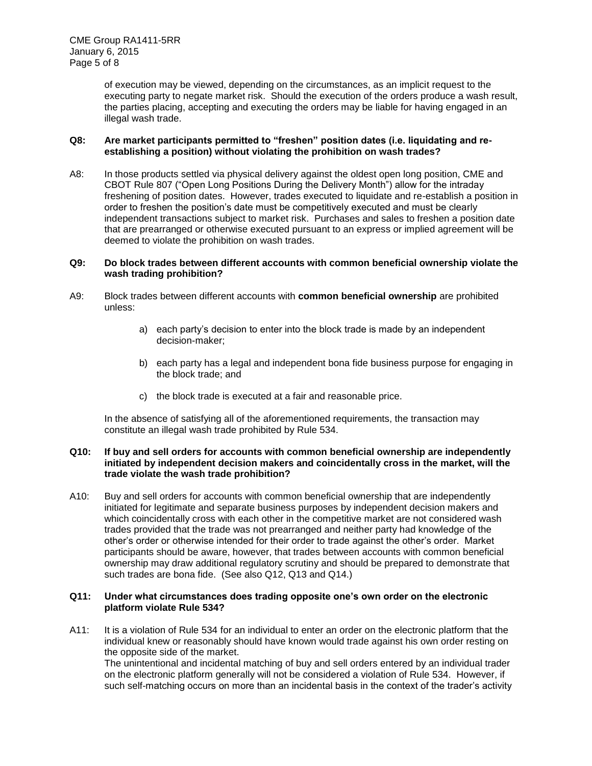of execution may be viewed, depending on the circumstances, as an implicit request to the executing party to negate market risk. Should the execution of the orders produce a wash result, the parties placing, accepting and executing the orders may be liable for having engaged in an illegal wash trade.

#### **Q8: Are market participants permitted to "freshen" position dates (i.e. liquidating and reestablishing a position) without violating the prohibition on wash trades?**

A8: In those products settled via physical delivery against the oldest open long position, CME and CBOT Rule 807 ("Open Long Positions During the Delivery Month") allow for the intraday freshening of position dates. However, trades executed to liquidate and re-establish a position in order to freshen the position's date must be competitively executed and must be clearly independent transactions subject to market risk. Purchases and sales to freshen a position date that are prearranged or otherwise executed pursuant to an express or implied agreement will be deemed to violate the prohibition on wash trades.

#### **Q9: Do block trades between different accounts with common beneficial ownership violate the wash trading prohibition?**

- A9: Block trades between different accounts with **common beneficial ownership** are prohibited unless:
	- a) each party's decision to enter into the block trade is made by an independent decision-maker;
	- b) each party has a legal and independent bona fide business purpose for engaging in the block trade; and
	- c) the block trade is executed at a fair and reasonable price.

In the absence of satisfying all of the aforementioned requirements, the transaction may constitute an illegal wash trade prohibited by Rule 534.

#### **Q10: If buy and sell orders for accounts with common beneficial ownership are independently initiated by independent decision makers and coincidentally cross in the market, will the trade violate the wash trade prohibition?**

A10: Buy and sell orders for accounts with common beneficial ownership that are independently initiated for legitimate and separate business purposes by independent decision makers and which coincidentally cross with each other in the competitive market are not considered wash trades provided that the trade was not prearranged and neither party had knowledge of the other's order or otherwise intended for their order to trade against the other's order. Market participants should be aware, however, that trades between accounts with common beneficial ownership may draw additional regulatory scrutiny and should be prepared to demonstrate that such trades are bona fide. (See also Q12, Q13 and Q14.)

# **Q11: Under what circumstances does trading opposite one's own order on the electronic platform violate Rule 534?**

A11: It is a violation of Rule 534 for an individual to enter an order on the electronic platform that the individual knew or reasonably should have known would trade against his own order resting on the opposite side of the market. The unintentional and incidental matching of buy and sell orders entered by an individual trader on the electronic platform generally will not be considered a violation of Rule 534. However, if such self-matching occurs on more than an incidental basis in the context of the trader's activity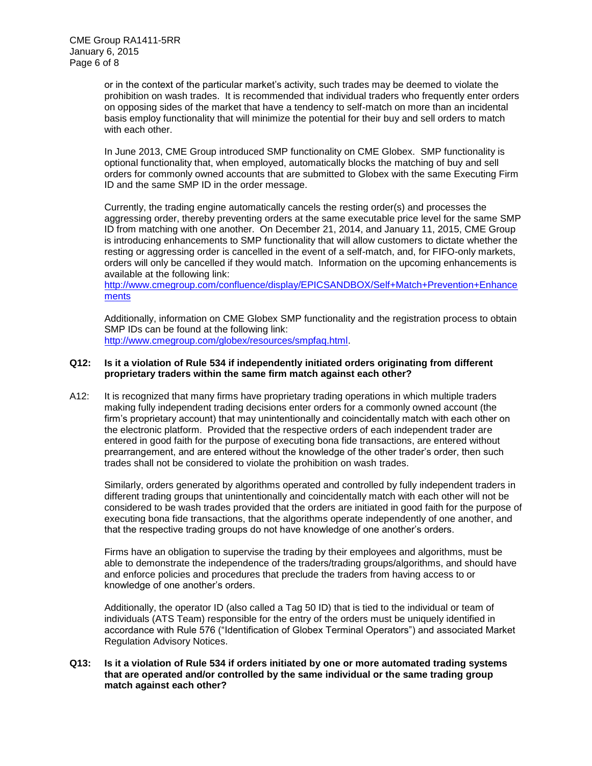or in the context of the particular market's activity, such trades may be deemed to violate the prohibition on wash trades. It is recommended that individual traders who frequently enter orders on opposing sides of the market that have a tendency to self-match on more than an incidental basis employ functionality that will minimize the potential for their buy and sell orders to match with each other.

In June 2013, CME Group introduced SMP functionality on CME Globex. SMP functionality is optional functionality that, when employed, automatically blocks the matching of buy and sell orders for commonly owned accounts that are submitted to Globex with the same Executing Firm ID and the same SMP ID in the order message.

Currently, the trading engine automatically cancels the resting order(s) and processes the aggressing order, thereby preventing orders at the same executable price level for the same SMP ID from matching with one another. On December 21, 2014, and January 11, 2015, CME Group is introducing enhancements to SMP functionality that will allow customers to dictate whether the resting or aggressing order is cancelled in the event of a self-match, and, for FIFO-only markets, orders will only be cancelled if they would match. Information on the upcoming enhancements is available at the following link:

[http://www.cmegroup.com/confluence/display/EPICSANDBOX/Self+Match+Prevention+Enhance](http://www.cmegroup.com/confluence/display/EPICSANDBOX/Self+Match+Prevention+Enhancements) [ments](http://www.cmegroup.com/confluence/display/EPICSANDBOX/Self+Match+Prevention+Enhancements)

Additionally, information on CME Globex SMP functionality and the registration process to obtain SMP IDs can be found at the following link: [http://www.cmegroup.com/globex/resources/smpfaq.html.](http://www.cmegroup.com/globex/resources/smpfaq.html)

#### **Q12: Is it a violation of Rule 534 if independently initiated orders originating from different proprietary traders within the same firm match against each other?**

A12: It is recognized that many firms have proprietary trading operations in which multiple traders making fully independent trading decisions enter orders for a commonly owned account (the firm's proprietary account) that may unintentionally and coincidentally match with each other on the electronic platform. Provided that the respective orders of each independent trader are entered in good faith for the purpose of executing bona fide transactions, are entered without prearrangement, and are entered without the knowledge of the other trader's order, then such trades shall not be considered to violate the prohibition on wash trades.

Similarly, orders generated by algorithms operated and controlled by fully independent traders in different trading groups that unintentionally and coincidentally match with each other will not be considered to be wash trades provided that the orders are initiated in good faith for the purpose of executing bona fide transactions, that the algorithms operate independently of one another, and that the respective trading groups do not have knowledge of one another's orders.

Firms have an obligation to supervise the trading by their employees and algorithms, must be able to demonstrate the independence of the traders/trading groups/algorithms, and should have and enforce policies and procedures that preclude the traders from having access to or knowledge of one another's orders.

Additionally, the operator ID (also called a Tag 50 ID) that is tied to the individual or team of individuals (ATS Team) responsible for the entry of the orders must be uniquely identified in accordance with Rule 576 ("Identification of Globex Terminal Operators") and associated Market Regulation Advisory Notices.

# **Q13: Is it a violation of Rule 534 if orders initiated by one or more automated trading systems that are operated and/or controlled by the same individual or the same trading group match against each other?**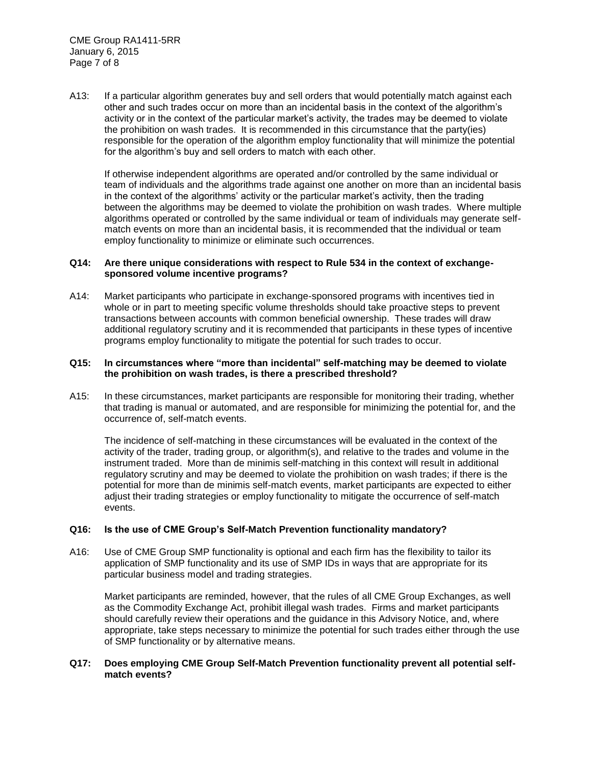A13: If a particular algorithm generates buy and sell orders that would potentially match against each other and such trades occur on more than an incidental basis in the context of the algorithm's activity or in the context of the particular market's activity, the trades may be deemed to violate the prohibition on wash trades. It is recommended in this circumstance that the party(ies) responsible for the operation of the algorithm employ functionality that will minimize the potential for the algorithm's buy and sell orders to match with each other.

If otherwise independent algorithms are operated and/or controlled by the same individual or team of individuals and the algorithms trade against one another on more than an incidental basis in the context of the algorithms' activity or the particular market's activity, then the trading between the algorithms may be deemed to violate the prohibition on wash trades. Where multiple algorithms operated or controlled by the same individual or team of individuals may generate selfmatch events on more than an incidental basis, it is recommended that the individual or team employ functionality to minimize or eliminate such occurrences.

#### **Q14: Are there unique considerations with respect to Rule 534 in the context of exchangesponsored volume incentive programs?**

A14: Market participants who participate in exchange-sponsored programs with incentives tied in whole or in part to meeting specific volume thresholds should take proactive steps to prevent transactions between accounts with common beneficial ownership. These trades will draw additional regulatory scrutiny and it is recommended that participants in these types of incentive programs employ functionality to mitigate the potential for such trades to occur.

#### **Q15: In circumstances where "more than incidental" self-matching may be deemed to violate the prohibition on wash trades, is there a prescribed threshold?**

A15: In these circumstances, market participants are responsible for monitoring their trading, whether that trading is manual or automated, and are responsible for minimizing the potential for, and the occurrence of, self-match events.

The incidence of self-matching in these circumstances will be evaluated in the context of the activity of the trader, trading group, or algorithm(s), and relative to the trades and volume in the instrument traded. More than de minimis self-matching in this context will result in additional regulatory scrutiny and may be deemed to violate the prohibition on wash trades; if there is the potential for more than de minimis self-match events, market participants are expected to either adjust their trading strategies or employ functionality to mitigate the occurrence of self-match events.

# **Q16: Is the use of CME Group's Self-Match Prevention functionality mandatory?**

A16: Use of CME Group SMP functionality is optional and each firm has the flexibility to tailor its application of SMP functionality and its use of SMP IDs in ways that are appropriate for its particular business model and trading strategies.

Market participants are reminded, however, that the rules of all CME Group Exchanges, as well as the Commodity Exchange Act, prohibit illegal wash trades. Firms and market participants should carefully review their operations and the guidance in this Advisory Notice, and, where appropriate, take steps necessary to minimize the potential for such trades either through the use of SMP functionality or by alternative means.

# **Q17: Does employing CME Group Self-Match Prevention functionality prevent all potential selfmatch events?**